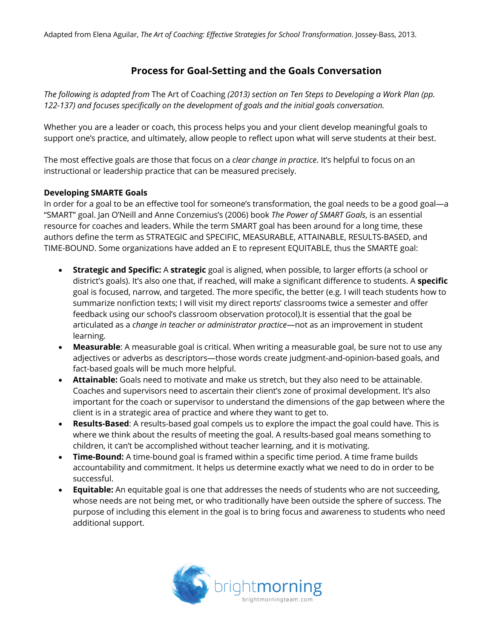# **Process for Goal-Setting and the Goals Conversation**

*The following is adapted from* The Art of Coaching *(2013) section on Ten Steps to Developing a Work Plan (pp. 122-137) and focuses specifically on the development of goals and the initial goals conversation.*

Whether you are a leader or coach, this process helps you and your client develop meaningful goals to support one's practice, and ultimately, allow people to reflect upon what will serve students at their best.

The most effective goals are those that focus on a *clear change in practice*. It's helpful to focus on an instructional or leadership practice that can be measured precisely.

## **Developing SMARTE Goals**

In order for a goal to be an effective tool for someone's transformation, the goal needs to be a good goal—a "SMART" goal. Jan O'Neill and Anne Conzemius's (2006) book *The Power of SMART Goals*, is an essential resource for coaches and leaders. While the term SMART goal has been around for a long time, these authors define the term as STRATEGIC and SPECIFIC, MEASURABLE, ATTAINABLE, RESULTS-BASED, and TIME-BOUND. Some organizations have added an E to represent EQUITABLE, thus the SMARTE goal:

- **Strategic and Specific:** A **strategic** goal is aligned, when possible, to larger efforts (a school or district's goals). It's also one that, if reached, will make a significant difference to students. A **specific** goal is focused, narrow, and targeted. The more specific, the better (e.g. I will teach students how to summarize nonfiction texts; I will visit my direct reports' classrooms twice a semester and offer feedback using our school's classroom observation protocol).It is essential that the goal be articulated as a *change in teacher or administrator practice*—not as an improvement in student learning.
- **Measurable**: A measurable goal is critical. When writing a measurable goal, be sure not to use any adjectives or adverbs as descriptors—those words create judgment-and-opinion-based goals, and fact-based goals will be much more helpful.
- **Attainable:** Goals need to motivate and make us stretch, but they also need to be attainable. Coaches and supervisors need to ascertain their client's zone of proximal development. It's also important for the coach or supervisor to understand the dimensions of the gap between where the client is in a strategic area of practice and where they want to get to.
- **Results-Based**: A results-based goal compels us to explore the impact the goal could have. This is where we think about the results of meeting the goal. A results-based goal means something to children, it can't be accomplished without teacher learning, and it is motivating.
- **Time-Bound:** A time-bound goal is framed within a specific time period. A time frame builds accountability and commitment. It helps us determine exactly what we need to do in order to be successful.
- **Equitable:** An equitable goal is one that addresses the needs of students who are not succeeding, whose needs are not being met, or who traditionally have been outside the sphere of success. The purpose of including this element in the goal is to bring focus and awareness to students who need additional support.